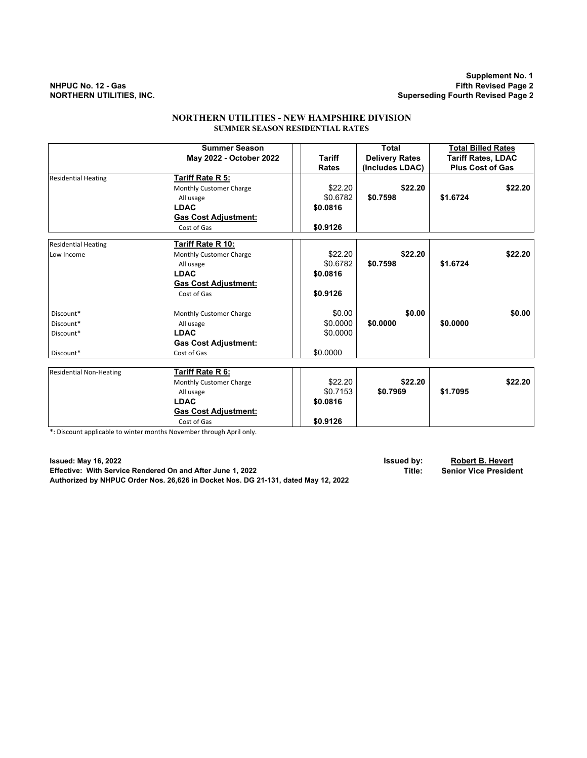**Supplement No. 1 NHPUC No. 12 - Gas Fifth Revised Page 2 Superseding Fourth Revised Page 2** 

## **NORTHERN UTILITIES - NEW HAMPSHIRE DIVISION SUMMER SEASON RESIDENTIAL RATES**

|                                | <b>Summer Season</b>        |               | <b>Total</b>          | <b>Total Billed Rates</b> |
|--------------------------------|-----------------------------|---------------|-----------------------|---------------------------|
|                                | May 2022 - October 2022     | <b>Tariff</b> | <b>Delivery Rates</b> | Tariff Rates, LDAC        |
|                                |                             | <b>Rates</b>  | (Includes LDAC)       | <b>Plus Cost of Gas</b>   |
| <b>Residential Heating</b>     | Tariff Rate R 5:            |               |                       |                           |
|                                | Monthly Customer Charge     | \$22.20       | \$22.20               | \$22.20                   |
|                                | All usage                   | \$0.6782      | \$0.7598              | \$1.6724                  |
|                                | <b>LDAC</b>                 | \$0.0816      |                       |                           |
|                                | <b>Gas Cost Adjustment:</b> |               |                       |                           |
|                                | Cost of Gas                 | \$0.9126      |                       |                           |
| <b>Residential Heating</b>     | Tariff Rate R 10:           |               |                       |                           |
| Low Income                     | Monthly Customer Charge     | \$22.20       | \$22.20               | \$22.20                   |
|                                | All usage                   | \$0.6782      | \$0.7598              | \$1.6724                  |
|                                | <b>LDAC</b>                 | \$0.0816      |                       |                           |
|                                | <b>Gas Cost Adjustment:</b> |               |                       |                           |
|                                | Cost of Gas                 | \$0.9126      |                       |                           |
| Discount*                      | Monthly Customer Charge     | \$0.00        | \$0.00                | \$0.00                    |
| Discount*                      | All usage                   | \$0.0000      | \$0.0000              | \$0.0000                  |
| Discount*                      | <b>LDAC</b>                 | \$0.0000      |                       |                           |
|                                | <b>Gas Cost Adjustment:</b> |               |                       |                           |
| Discount*                      | Cost of Gas                 | \$0.0000      |                       |                           |
| <b>Residential Non-Heating</b> | Tariff Rate R 6:            |               |                       |                           |
|                                | Monthly Customer Charge     | \$22.20       | \$22.20               | \$22.20                   |
|                                | All usage                   | \$0.7153      | \$0.7969              | \$1.7095                  |
|                                | <b>LDAC</b>                 | \$0.0816      |                       |                           |
|                                | <b>Gas Cost Adjustment:</b> |               |                       |                           |
|                                | Cost of Gas                 | \$0.9126      |                       |                           |
|                                |                             |               |                       |                           |

\*: Discount applicable to winter months November through April only.

**Issued: May 16, 2022 Issued by: Robert B. Hevert Effective: With Service Rendered On and After June 1, 2022 Authorized by NHPUC Order Nos. 26,626 in Docket Nos. DG 21-131, dated May 12, 2022**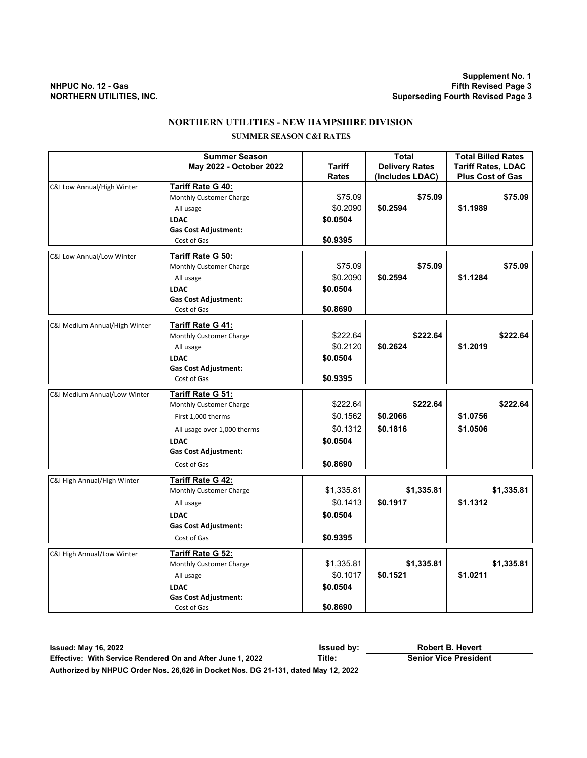**Supplement No. 1 NHPUC No. 12 - Gas Fifth Revised Page 3 NORTHERN UTILITIES, INC. Superseding Fourth Revised Page 3**

# **NORTHERN UTILITIES - NEW HAMPSHIRE DIVISION**

# **SUMMER SEASON C&I RATES**

|                               | <b>Summer Season</b>        |              | <b>Total</b>          | <b>Total Billed Rates</b> |
|-------------------------------|-----------------------------|--------------|-----------------------|---------------------------|
|                               | May 2022 - October 2022     | Tariff       | <b>Delivery Rates</b> | <b>Tariff Rates, LDAC</b> |
|                               |                             | <b>Rates</b> | (Includes LDAC)       | <b>Plus Cost of Gas</b>   |
| C&I Low Annual/High Winter    | Tariff Rate G 40:           |              |                       |                           |
|                               | Monthly Customer Charge     | \$75.09      | \$75.09               | \$75.09                   |
|                               | All usage                   | \$0.2090     | \$0.2594              | \$1.1989                  |
|                               | <b>LDAC</b>                 | \$0.0504     |                       |                           |
|                               | <b>Gas Cost Adjustment:</b> |              |                       |                           |
|                               | Cost of Gas                 | \$0.9395     |                       |                           |
| C&I Low Annual/Low Winter     | Tariff Rate G 50:           |              |                       |                           |
|                               | Monthly Customer Charge     | \$75.09      | \$75.09               | \$75.09                   |
|                               | All usage                   | \$0.2090     | \$0.2594              | \$1.1284                  |
|                               | <b>LDAC</b>                 | \$0.0504     |                       |                           |
|                               | <b>Gas Cost Adjustment:</b> |              |                       |                           |
|                               | Cost of Gas                 | \$0.8690     |                       |                           |
| C&I Medium Annual/High Winter | Tariff Rate G 41:           |              |                       |                           |
|                               | Monthly Customer Charge     | \$222.64     | \$222.64              | \$222.64                  |
|                               | All usage                   | \$0.2120     | \$0.2624              | \$1.2019                  |
|                               | <b>LDAC</b>                 | \$0.0504     |                       |                           |
|                               | <b>Gas Cost Adjustment:</b> |              |                       |                           |
|                               | Cost of Gas                 | \$0.9395     |                       |                           |
|                               |                             |              |                       |                           |
| C&I Medium Annual/Low Winter  | Tariff Rate G 51:           |              |                       |                           |
|                               | Monthly Customer Charge     | \$222.64     | \$222.64              | \$222.64                  |
|                               | First 1,000 therms          | \$0.1562     | \$0.2066              | \$1.0756                  |
|                               | All usage over 1,000 therms | \$0.1312     | \$0.1816              | \$1.0506                  |
|                               | <b>LDAC</b>                 | \$0.0504     |                       |                           |
|                               | <b>Gas Cost Adjustment:</b> |              |                       |                           |
|                               | Cost of Gas                 | \$0.8690     |                       |                           |
| C&I High Annual/High Winter   | <b>Tariff Rate G 42:</b>    |              |                       |                           |
|                               | Monthly Customer Charge     | \$1,335.81   | \$1,335.81            | \$1,335.81                |
|                               | All usage                   | \$0.1413     | \$0.1917              | \$1.1312                  |
|                               | <b>LDAC</b>                 | \$0.0504     |                       |                           |
|                               | <b>Gas Cost Adjustment:</b> |              |                       |                           |
|                               | Cost of Gas                 | \$0.9395     |                       |                           |
|                               |                             |              |                       |                           |
| C&I High Annual/Low Winter    | <b>Tariff Rate G 52:</b>    |              |                       |                           |
|                               | Monthly Customer Charge     | \$1,335.81   | \$1,335.81            | \$1,335.81                |
|                               | All usage                   | \$0.1017     | \$0.1521              | \$1.0211                  |
|                               | <b>LDAC</b>                 | \$0.0504     |                       |                           |
|                               | <b>Gas Cost Adjustment:</b> |              |                       |                           |
|                               | Cost of Gas                 | \$0.8690     |                       |                           |

**Issued: May 16, 2022 Issued by: Effective: With Service Rendered On and After June 1, 2022 Title: Senior Vice President Authorized by NHPUC Order Nos. 26,626 in Docket Nos. DG 21-131, dated May 12, 2022 Robert B. Hevert**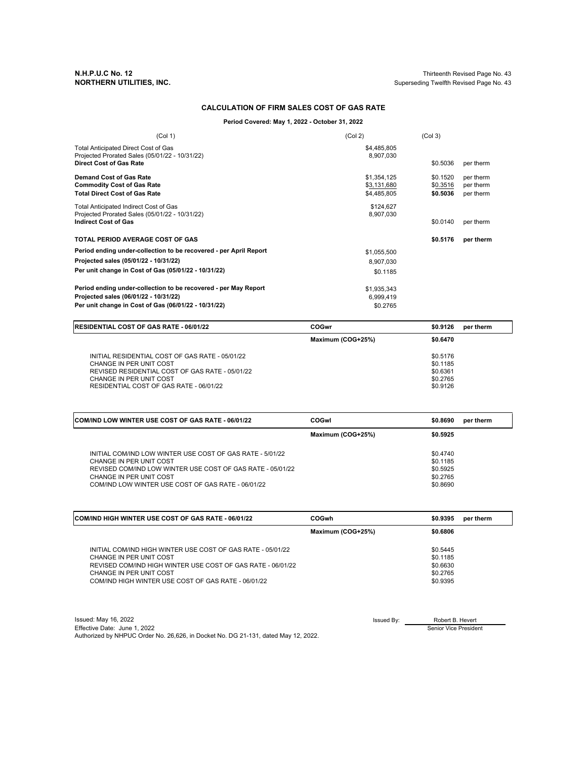**N.H.P.U.C No. 12** Thirteenth Revised Page No. 43 Superseding Twelfth Revised Page No. 43

#### **CALCULATION OF FIRM SALES COST OF GAS RATE**

**Period Covered: May 1, 2022 - October 31, 2022**

| (Col 1)                                                                                                                                                            | (Col 2)                                   | (Col <sub>3</sub> )              |                                     |
|--------------------------------------------------------------------------------------------------------------------------------------------------------------------|-------------------------------------------|----------------------------------|-------------------------------------|
| Total Anticipated Direct Cost of Gas<br>Projected Prorated Sales (05/01/22 - 10/31/22)<br><b>Direct Cost of Gas Rate</b>                                           | \$4,485,805<br>8,907,030                  | \$0.5036                         | per therm                           |
| <b>Demand Cost of Gas Rate</b><br><b>Commodity Cost of Gas Rate</b><br><b>Total Direct Cost of Gas Rate</b>                                                        | \$1,354,125<br>\$3,131,680<br>\$4,485,805 | \$0.1520<br>\$0.3516<br>\$0.5036 | per therm<br>per therm<br>per therm |
| Total Anticipated Indirect Cost of Gas<br>Projected Prorated Sales (05/01/22 - 10/31/22)<br><b>Indirect Cost of Gas</b>                                            | \$124,627<br>8,907,030                    | \$0.0140                         | per therm                           |
| <b>TOTAL PERIOD AVERAGE COST OF GAS</b>                                                                                                                            |                                           | \$0.5176                         | per therm                           |
| Period ending under-collection to be recovered - per April Report<br>Projected sales (05/01/22 - 10/31/22)<br>Per unit change in Cost of Gas (05/01/22 - 10/31/22) | \$1,055,500<br>8,907,030<br>\$0.1185      |                                  |                                     |
| Period ending under-collection to be recovered - per May Report<br>Projected sales (06/01/22 - 10/31/22)<br>Per unit change in Cost of Gas (06/01/22 - 10/31/22)   | \$1,935,343<br>6,999,419<br>\$0.2765      |                                  |                                     |

| <b>RESIDENTIAL COST OF GAS RATE - 06/01/22</b>                                                                                                                                                      | COGwr             | \$0.9126                                                 | per therm |
|-----------------------------------------------------------------------------------------------------------------------------------------------------------------------------------------------------|-------------------|----------------------------------------------------------|-----------|
|                                                                                                                                                                                                     | Maximum (COG+25%) | \$0.6470                                                 |           |
| INITIAL RESIDENTIAL COST OF GAS RATE - 05/01/22<br>CHANGE IN PER UNIT COST<br>REVISED RESIDENTIAL COST OF GAS RATE - 05/01/22<br>CHANGE IN PER UNIT COST<br>RESIDENTIAL COST OF GAS RATE - 06/01/22 |                   | \$0.5176<br>\$0.1185<br>\$0.6361<br>\$0.2765<br>\$0.9126 |           |

| <b>COM/IND LOW WINTER USE COST OF GAS RATE - 06/01/22</b>                                                                                                                                                                           | COGwl             | \$0.8690                                                 | per therm |
|-------------------------------------------------------------------------------------------------------------------------------------------------------------------------------------------------------------------------------------|-------------------|----------------------------------------------------------|-----------|
|                                                                                                                                                                                                                                     | Maximum (COG+25%) | \$0.5925                                                 |           |
| INITIAL COM/IND LOW WINTER USE COST OF GAS RATE - 5/01/22<br>CHANGE IN PER UNIT COST<br>REVISED COM/IND LOW WINTER USE COST OF GAS RATE - 05/01/22<br>CHANGE IN PER UNIT COST<br>COM/IND LOW WINTER USE COST OF GAS RATE - 06/01/22 |                   | \$0.4740<br>\$0.1185<br>\$0.5925<br>\$0.2765<br>\$0.8690 |           |

| <b>ICOM/IND HIGH WINTER USE COST OF GAS RATE - 06/01/22</b> | <b>COGwh</b>      | \$0.9395 | per therm |
|-------------------------------------------------------------|-------------------|----------|-----------|
|                                                             | Maximum (COG+25%) | \$0.6806 |           |
| INITIAL COM/IND HIGH WINTER USE COST OF GAS RATE - 05/01/22 |                   | \$0.5445 |           |
| CHANGE IN PER UNIT COST                                     |                   | \$0.1185 |           |
| REVISED COM/IND HIGH WINTER USE COST OF GAS RATE - 06/01/22 |                   | \$0.6630 |           |
| CHANGE IN PER UNIT COST                                     |                   | \$0.2765 |           |
| COM/IND HIGH WINTER USE COST OF GAS RATE - 06/01/22         |                   | \$0.9395 |           |

| Issued: May 16, 2022                                                               | Issued By: | Robert B. Hevert      |
|------------------------------------------------------------------------------------|------------|-----------------------|
| Effective Date: June 1, 2022                                                       |            | Senior Vice President |
| Authorized by NHPUC Order No. 26.626, in Docket No. DG 21-131, dated May 12, 2022. |            |                       |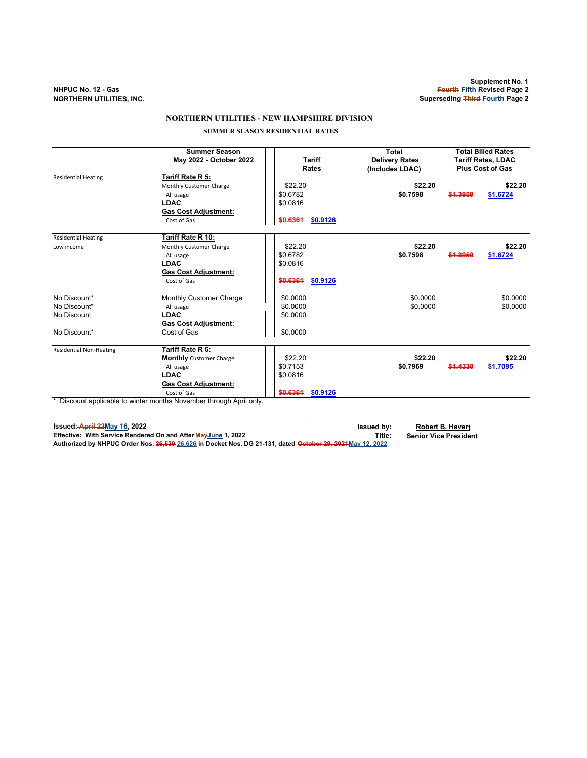### **NORTHERN UTILITIES - NEW HAMPSHIRE DIVISION**

 **SUMMER SEASON RESIDENTIAL RATES**

|                                                             | <b>Summer Season</b><br>May 2022 - October 2022                                                                                                                                                               | <b>Tariff</b><br>Rates                                  | Total<br><b>Delivery Rates</b><br>(Includes LDAC) |          | <b>Total Billed Rates</b><br><b>Tariff Rates, LDAC</b><br><b>Plus Cost of Gas</b> |
|-------------------------------------------------------------|---------------------------------------------------------------------------------------------------------------------------------------------------------------------------------------------------------------|---------------------------------------------------------|---------------------------------------------------|----------|-----------------------------------------------------------------------------------|
| <b>Residential Heating</b>                                  | Tariff Rate R 5:<br>Monthly Customer Charge<br>All usage<br><b>LDAC</b><br><b>Gas Cost Adjustment:</b><br>Cost of Gas                                                                                         | \$22.20<br>\$0.6782<br>\$0.0816<br>\$0.6361<br>\$0,9126 | \$22.20<br>\$0.7598                               | \$1,3959 | \$22.20<br>\$1.6724                                                               |
| <b>Residential Heating</b><br>Low income                    | Tariff Rate R 10:<br>Monthly Customer Charge<br>All usage<br><b>LDAC</b><br><b>Gas Cost Adjustment:</b><br>Cost of Gas                                                                                        | \$22.20<br>\$0.6782<br>\$0.0816<br>\$0.6361<br>\$0.9126 | \$22.20<br>\$0.7598                               | \$1,3959 | \$22.20<br>\$1.6724                                                               |
| No Discount*<br>No Discount*<br>No Discount<br>No Discount* | Monthly Customer Charge<br>All usage<br><b>LDAC</b><br><b>Gas Cost Adjustment:</b><br>Cost of Gas                                                                                                             | \$0.0000<br>\$0.0000<br>\$0.0000<br>\$0.0000            | \$0.0000<br>\$0.0000                              |          | \$0.0000<br>\$0.0000                                                              |
| <b>Residential Non-Heating</b>                              | Tariff Rate R 6:<br><b>Monthly</b> Customer Charge<br>All usage<br><b>LDAC</b><br><b>Gas Cost Adjustment:</b><br>Cost of Gas<br>*: Disserted seathered a de coledar accepter Naccepter description Annil subc | \$22.20<br>\$0.7153<br>\$0.0816<br>\$0.6361<br>\$0.9126 | \$22.20<br>\$0.7969                               | \$1.4330 | \$22.20<br>\$1.7095                                                               |

\*: Discount applicable to winter months November through April only.

**Issued: April 22May 16, 2022 Issued by: Robert B. Hevert Effective: With Service Rendered On and After MayJune 1, 2022 Title: Senior Vice President Authorized by NHPUC Order Nos. 26,539 26,626 in Docket Nos. DG 21-131, dated October 29, 2021May 12, 2022**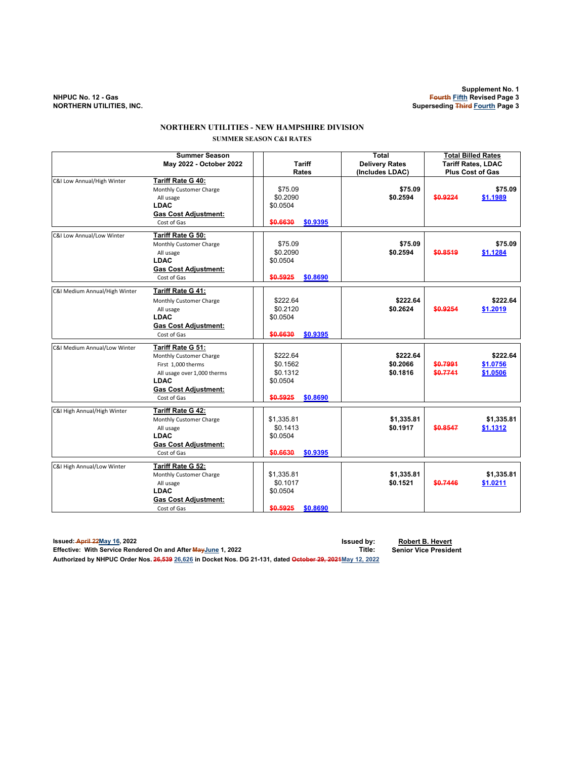### **NORTHERN UTILITIES - NEW HAMPSHIRE DIVISION SUMMER SEASON C&I RATES**

|                               | <b>Summer Season</b><br>May 2022 - October 2022                                                                                                                | <b>Tariff</b><br>Rates                                               | <b>Total</b><br><b>Delivery Rates</b><br>(Includes LDAC) | <b>Total Billed Rates</b><br><b>Tariff Rates, LDAC</b><br><b>Plus Cost of Gas</b> |          |
|-------------------------------|----------------------------------------------------------------------------------------------------------------------------------------------------------------|----------------------------------------------------------------------|----------------------------------------------------------|-----------------------------------------------------------------------------------|----------|
| C&I Low Annual/High Winter    | Tariff Rate G 40:<br>Monthly Customer Charge<br>All usage<br><b>LDAC</b><br><b>Gas Cost Adjustment:</b><br>Cost of Gas                                         | \$75.09<br>\$0.2090<br>\$0.0504<br>\$0.6630<br>\$0.9395              | \$75.09<br>\$0.2594                                      | \$0.9224<br>\$1.1989                                                              | \$75.09  |
| C&I Low Annual/Low Winter     | Tariff Rate G 50:<br>Monthly Customer Charge<br>All usage<br><b>LDAC</b><br><b>Gas Cost Adjustment:</b><br>Cost of Gas                                         | \$75.09<br>\$0.2090<br>\$0.0504<br>\$0.5925<br>\$0.8690              | \$75.09<br>\$0.2594                                      | \$0.8519<br>\$1.1284                                                              | \$75.09  |
| C&I Medium Annual/High Winter | Tariff Rate G 41:<br>Monthly Customer Charge<br>All usage<br><b>LDAC</b><br><b>Gas Cost Adjustment:</b><br>Cost of Gas                                         | \$222.64<br>\$0.2120<br>\$0.0504<br>\$0.6630<br>\$0.9395             | \$222.64<br>\$0.2624                                     | \$0.9254<br>\$1.2019                                                              | \$222.64 |
| C&I Medium Annual/Low Winter  | Tariff Rate G 51:<br>Monthly Customer Charge<br>First 1,000 therms<br>All usage over 1,000 therms<br><b>LDAC</b><br><b>Gas Cost Adjustment:</b><br>Cost of Gas | \$222.64<br>\$0.1562<br>\$0.1312<br>\$0.0504<br>\$0.5925<br>\$0.8690 | \$222.64<br>\$0.2066<br>\$0.1816                         | \$222.64<br>\$0.7991<br>\$1.0756<br>\$0.7741<br>\$1.0506                          |          |
| C&I High Annual/High Winter   | Tariff Rate G 42:<br>Monthly Customer Charge<br>All usage<br><b>LDAC</b><br><b>Gas Cost Adjustment:</b><br>Cost of Gas                                         | \$1,335.81<br>\$0.1413<br>\$0.0504<br>\$0,6630<br>\$0.9395           | \$1,335.81<br>\$0.1917                                   | \$1,335.81<br>\$0.8547<br>\$1.1312                                                |          |
| C&I High Annual/Low Winter    | Tariff Rate G 52:<br>Monthly Customer Charge<br>All usage<br><b>LDAC</b><br><b>Gas Cost Adjustment:</b><br>Cost of Gas                                         | \$1,335.81<br>\$0.1017<br>\$0.0504<br>\$0.5925<br>\$0.8690           | \$1,335.81<br>\$0.1521                                   | \$1,335.81<br>\$0.7446<br>\$1.0211                                                |          |

**Issued: April 22May 16, 2022 Issued by: Robert B. Hevert Effective: With Service Rendered On and After MayJune 1, 2022 Title: Senior Vice President Authorized by NHPUC Order Nos. 26,539 26,626 in Docket Nos. DG 21-131, dated October 29, 2021May 12, 2022**